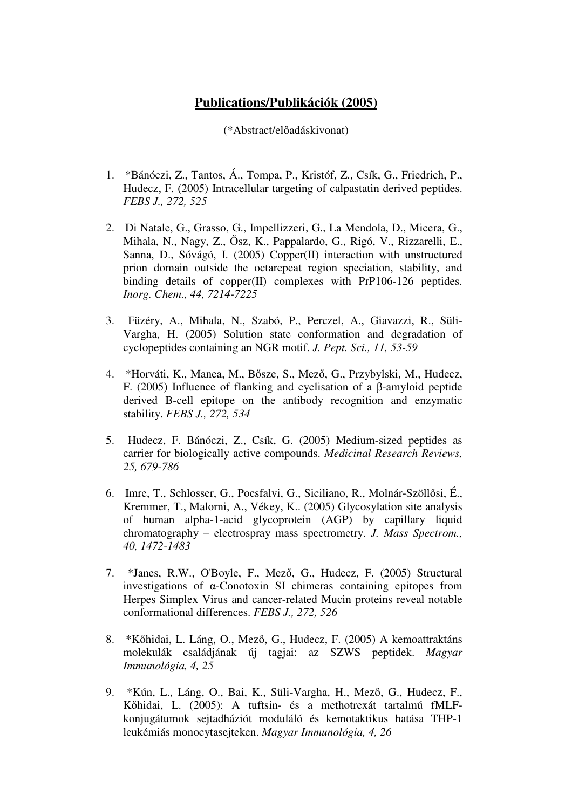## **Publications/Publikációk (2005)**

(\*Abstract/előadáskivonat)

- 1. \*Bánóczi, Z., Tantos, Á., Tompa, P., Kristóf, Z., Csík, G., Friedrich, P., Hudecz, F. (2005) Intracellular targeting of calpastatin derived peptides. *FEBS J., 272, 525*
- 2. Di Natale, G., Grasso, G., Impellizzeri, G., La Mendola, D., Micera, G., Mihala, N., Nagy, Z., Ősz, K., Pappalardo, G., Rigó, V., Rizzarelli, E., Sanna, D., Sóvágó, I. (2005) Copper(II) interaction with unstructured prion domain outside the octarepeat region speciation, stability, and binding details of copper(II) complexes with PrP106-126 peptides. *Inorg. Chem., 44, 7214-7225*
- 3. Füzéry, A., Mihala, N., Szabó, P., Perczel, A., Giavazzi, R., Süli-Vargha, H. (2005) Solution state conformation and degradation of cyclopeptides containing an NGR motif. *J. Pept. Sci., 11, 53-59*
- 4. \*Horváti, K., Manea, M., Bősze, S., Mező, G., Przybylski, M., Hudecz, F. (2005) Influence of flanking and cyclisation of a β-amyloid peptide derived B-cell epitope on the antibody recognition and enzymatic stability. *FEBS J., 272, 534*
- 5. Hudecz, F. Bánóczi, Z., Csík, G. (2005) Medium-sized peptides as carrier for biologically active compounds. *Medicinal Research Reviews, 25, 679-786*
- 6. Imre, T., Schlosser, G., Pocsfalvi, G., Siciliano, R., Molnár-Szöllősi, É., Kremmer, T., Malorni, A., Vékey, K.. (2005) Glycosylation site analysis of human alpha-1-acid glycoprotein (AGP) by capillary liquid chromatography – electrospray mass spectrometry. *J. Mass Spectrom., 40, 1472-1483*
- 7. \*Janes, R.W., O'Boyle, F., Mező, G., Hudecz, F. (2005) Structural investigations of α-Conotoxin SI chimeras containing epitopes from Herpes Simplex Virus and cancer-related Mucin proteins reveal notable conformational differences. *FEBS J., 272, 526*
- 8. \*Kőhidai, L. Láng, O., Mező, G., Hudecz, F. (2005) A kemoattraktáns molekulák családjának új tagjai: az SZWS peptidek. *Magyar Immunológia, 4, 25*
- 9. \*Kún, L., Láng, O., Bai, K., Süli-Vargha, H., Mező, G., Hudecz, F., Kőhidai, L. (2005): A tuftsin- és a methotrexát tartalmú fMLFkonjugátumok sejtadháziót moduláló és kemotaktikus hatása THP-1 leukémiás monocytasejteken. *Magyar Immunológia, 4, 26*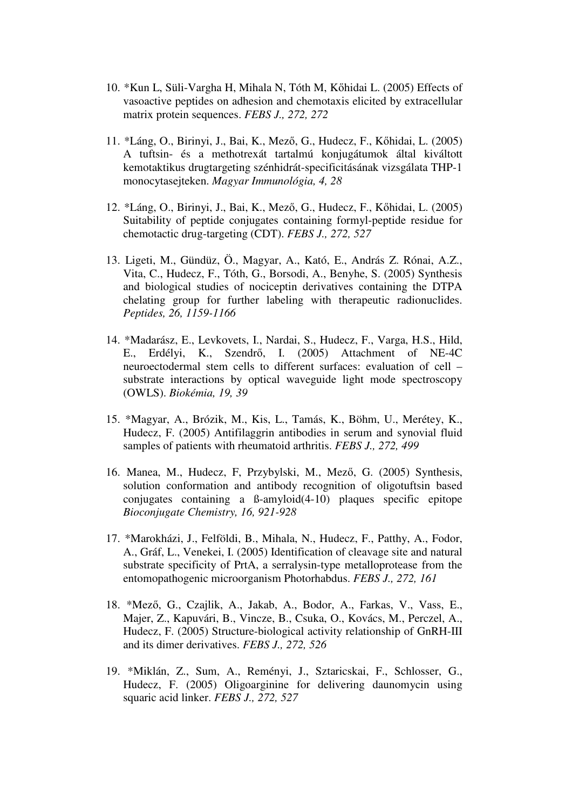- 10. \*Kun L, Süli-Vargha H, Mihala N, Tóth M, Kőhidai L. (2005) Effects of vasoactive peptides on adhesion and chemotaxis elicited by extracellular matrix protein sequences. *FEBS J., 272, 272*
- 11. \*Láng, O., Birinyi, J., Bai, K., Mező, G., Hudecz, F., Kőhidai, L. (2005) A tuftsin- és a methotrexát tartalmú konjugátumok által kiváltott kemotaktikus drugtargeting szénhidrát-specificitásának vizsgálata THP-1 monocytasejteken. *Magyar Immunológia, 4, 28*
- 12. \*Láng, O., Birinyi, J., Bai, K., Mező, G., Hudecz, F., Kőhidai, L. (2005) Suitability of peptide conjugates containing formyl-peptide residue for chemotactic drug-targeting (CDT). *FEBS J., 272, 527*
- 13. Ligeti, M., Gündüz, Ö., Magyar, A., Kató, E., András Z. Rónai, A.Z., Vita, C., Hudecz, F., Tóth, G., Borsodi, A., Benyhe, S. (2005) Synthesis and biological studies of nociceptin derivatives containing the DTPA chelating group for further labeling with therapeutic radionuclides. *Peptides, 26, 1159-1166*
- 14. \*Madarász, E., Levkovets, I., Nardai, S., Hudecz, F., Varga, H.S., Hild, E., Erdélyi, K., Szendrő, I. (2005) Attachment of NE-4C neuroectodermal stem cells to different surfaces: evaluation of cell – substrate interactions by optical waveguide light mode spectroscopy (OWLS). *Biokémia, 19, 39*
- 15. \*Magyar, A., Brózik, M., Kis, L., Tamás, K., Böhm, U., Merétey, K., Hudecz, F. (2005) Antifilaggrin antibodies in serum and synovial fluid samples of patients with rheumatoid arthritis. *FEBS J., 272, 499*
- 16. Manea, M., Hudecz, F, Przybylski, M., Mező, G. (2005) Synthesis, solution conformation and antibody recognition of oligotuftsin based conjugates containing a ß-amyloid(4-10) plaques specific epitope *Bioconjugate Chemistry, 16, 921-928*
- 17. \*Marokházi, J., Felföldi, B., Mihala, N., Hudecz, F., Patthy, A., Fodor, A., Gráf, L., Venekei, I. (2005) Identification of cleavage site and natural substrate specificity of PrtA, a serralysin-type metalloprotease from the entomopathogenic microorganism Photorhabdus. *FEBS J., 272, 161*
- 18. \*Mező, G., Czajlik, A., Jakab, A., Bodor, A., Farkas, V., Vass, E., Majer, Z., Kapuvári, B., Vincze, B., Csuka, O., Kovács, M., Perczel, A., Hudecz, F. (2005) Structure-biological activity relationship of GnRH-III and its dimer derivatives. *FEBS J., 272, 526*
- 19. \*Miklán, Z., Sum, A., Reményi, J., Sztaricskai, F., Schlosser, G., Hudecz, F. (2005) Oligoarginine for delivering daunomycin using squaric acid linker. *FEBS J., 272, 527*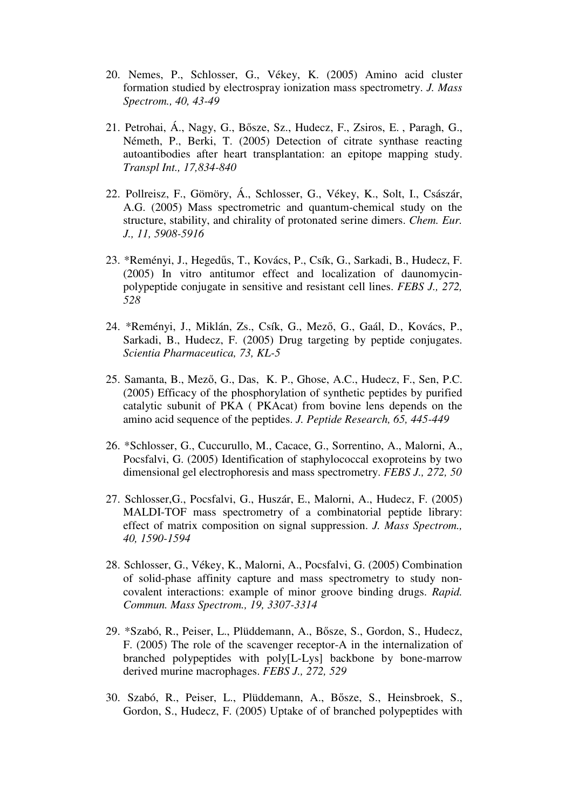- 20. Nemes, P., Schlosser, G., Vékey, K. (2005) Amino acid cluster formation studied by electrospray ionization mass spectrometry. *J. Mass Spectrom., 40, 43-49*
- 21. Petrohai, Á., Nagy, G., Bősze, Sz., Hudecz, F., Zsiros, E. , Paragh, G., Németh, P., Berki, T. (2005) Detection of citrate synthase reacting autoantibodies after heart transplantation: an epitope mapping study. *Transpl Int., 17,834-840*
- 22. Pollreisz, F., Gömöry, Á., Schlosser, G., Vékey, K., Solt, I., Császár, A.G. (2005) Mass spectrometric and quantum-chemical study on the structure, stability, and chirality of protonated serine dimers. *Chem. Eur. J., 11, 5908-5916*
- 23. \*Reményi, J., Hegedűs, T., Kovács, P., Csík, G., Sarkadi, B., Hudecz, F. (2005) In vitro antitumor effect and localization of daunomycinpolypeptide conjugate in sensitive and resistant cell lines. *FEBS J., 272, 528*
- 24. \*Reményi, J., Miklán, Zs., Csík, G., Mező, G., Gaál, D., Kovács, P., Sarkadi, B., Hudecz, F. (2005) Drug targeting by peptide conjugates. *Scientia Pharmaceutica, 73, KL-5*
- 25. Samanta, B., Mező, G., Das, K. P., Ghose, A.C., Hudecz, F., Sen, P.C. (2005) Efficacy of the phosphorylation of synthetic peptides by purified catalytic subunit of PKA ( PKAcat) from bovine lens depends on the amino acid sequence of the peptides. *J. Peptide Research, 65, 445-449*
- 26. \*Schlosser, G., Cuccurullo, M., Cacace, G., Sorrentino, A., Malorni, A., Pocsfalvi, G. (2005) Identification of staphylococcal exoproteins by two dimensional gel electrophoresis and mass spectrometry. *FEBS J., 272, 50*
- 27. Schlosser,G., Pocsfalvi, G., Huszár, E., Malorni, A., Hudecz, F. (2005) MALDI-TOF mass spectrometry of a combinatorial peptide library: effect of matrix composition on signal suppression. *J. Mass Spectrom., 40, 1590-1594*
- 28. Schlosser, G., Vékey, K., Malorni, A., Pocsfalvi, G. (2005) Combination of solid-phase affinity capture and mass spectrometry to study noncovalent interactions: example of minor groove binding drugs. *Rapid. Commun. Mass Spectrom., 19, 3307-3314*
- 29. \*Szabó, R., Peiser, L., Plüddemann, A., Bősze, S., Gordon, S., Hudecz, F. (2005) The role of the scavenger receptor-A in the internalization of branched polypeptides with poly[L-Lys] backbone by bone-marrow derived murine macrophages. *FEBS J., 272, 529*
- 30. Szabó, R., Peiser, L., Plüddemann, A., Bősze, S., Heinsbroek, S., Gordon, S., Hudecz, F. (2005) Uptake of of branched polypeptides with